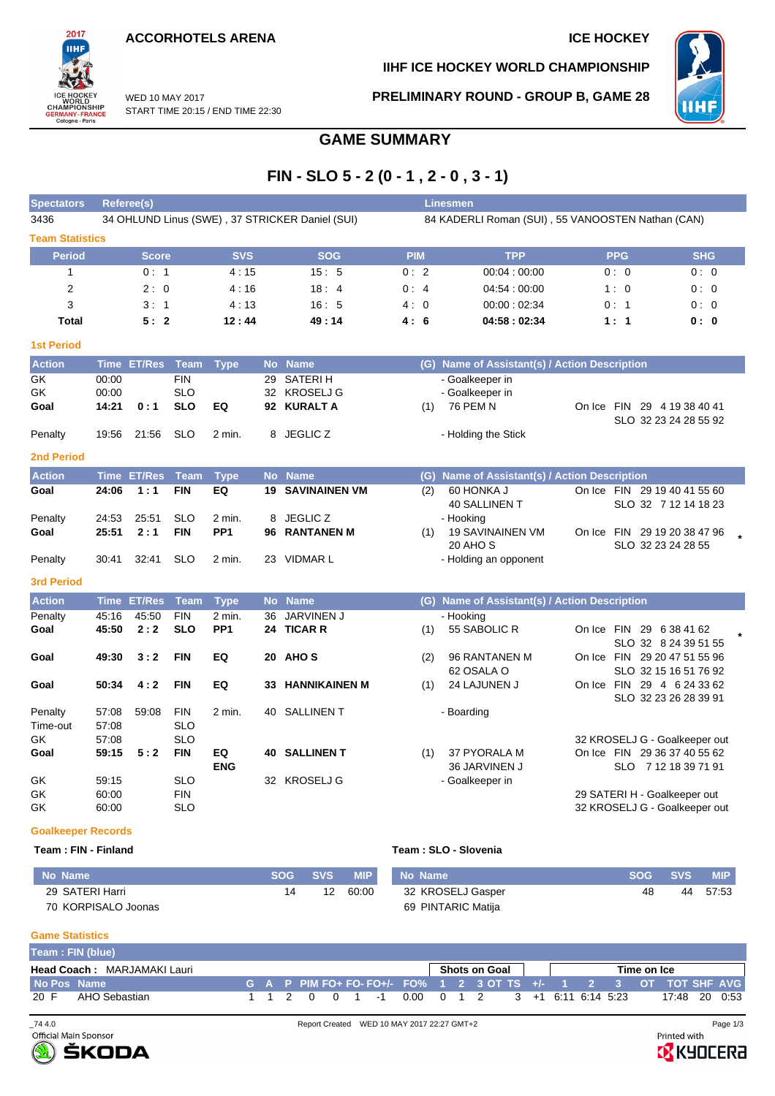**ACCORHOTELS ARENA ICE HOCKEY** 

START TIME 20:15 / END TIME 22:30

WED 10 MAY 2017



**IIHF ICE HOCKEY WORLD CHAMPIONSHIP**

**PRELIMINARY ROUND - GROUP B, GAME 28**



# **GAME SUMMARY**

# **FIN - SLO 5 - 2 (0 - 1 , 2 - 0 , 3 - 1)**

| <b>Spectators</b>         |                | Referee(s)         |                          |                 |           |                                                 | Linesmen                                          |     |                                               |            |                                                      |            |  |  |  |  |  |
|---------------------------|----------------|--------------------|--------------------------|-----------------|-----------|-------------------------------------------------|---------------------------------------------------|-----|-----------------------------------------------|------------|------------------------------------------------------|------------|--|--|--|--|--|
| 3436                      |                |                    |                          |                 |           | 34 OHLUND Linus (SWE), 37 STRICKER Daniel (SUI) | 84 KADERLI Roman (SUI), 55 VANOOSTEN Nathan (CAN) |     |                                               |            |                                                      |            |  |  |  |  |  |
| <b>Team Statistics</b>    |                |                    |                          |                 |           |                                                 |                                                   |     |                                               |            |                                                      |            |  |  |  |  |  |
| <b>Period</b>             |                | <b>Score</b>       |                          | <b>SVS</b>      |           | <b>SOG</b>                                      | <b>PIM</b>                                        |     | <b>TPP</b>                                    | <b>PPG</b> |                                                      | <b>SHG</b> |  |  |  |  |  |
| $\mathbf{1}$              |                | 0:1                |                          | 4:15            |           | 15:5                                            | 0:2                                               |     | 00:04:00:00                                   | 0:0        |                                                      | 0:0        |  |  |  |  |  |
| $\overline{2}$            |                | 2:0                |                          | 4:16            |           | 18:4                                            | 0:4                                               |     | 04:54:00:00                                   | 1:0        |                                                      | 0:0        |  |  |  |  |  |
| 3                         |                | 3:1                |                          | 4:13            |           | 16:5                                            | 4:0                                               |     | 00:00:02:34                                   | 0: 1       |                                                      | 0:0        |  |  |  |  |  |
| <b>Total</b>              |                | 5:2                |                          | 12:44           |           | 49:14                                           | 4:6                                               |     | 04:58:02:34                                   | 1:1        |                                                      | 0:0        |  |  |  |  |  |
| <b>1st Period</b>         |                |                    |                          |                 |           |                                                 |                                                   |     |                                               |            |                                                      |            |  |  |  |  |  |
| <b>Action</b>             |                | Time ET/Res        | <b>Team</b>              | <b>Type</b>     |           | No Name                                         |                                                   |     | (G) Name of Assistant(s) / Action Description |            |                                                      |            |  |  |  |  |  |
| GK                        | 00:00          |                    | <b>FIN</b>               |                 | 29        | <b>SATERIH</b>                                  |                                                   |     | - Goalkeeper in                               |            |                                                      |            |  |  |  |  |  |
| GK                        | 00:00          |                    | <b>SLO</b>               |                 |           | 32 KROSELJ G                                    |                                                   |     | - Goalkeeper in                               |            |                                                      |            |  |  |  |  |  |
| Goal                      | 14:21          | 0:1                | <b>SLO</b>               | EQ              |           | 92 KURALT A                                     |                                                   | (1) | 76 PEM N                                      |            | On Ice FIN 29 4 19 38 40 41<br>SLO 32 23 24 28 55 92 |            |  |  |  |  |  |
| Penalty                   | 19:56          | 21:56              | <b>SLO</b>               | $2$ min.        |           | 8 JEGLIC Z                                      |                                                   |     | - Holding the Stick                           |            |                                                      |            |  |  |  |  |  |
| <b>2nd Period</b>         |                |                    |                          |                 |           |                                                 |                                                   |     |                                               |            |                                                      |            |  |  |  |  |  |
| <b>Action</b>             |                | <b>Time ET/Res</b> | <b>Team</b>              | <b>Type</b>     | <b>No</b> | <b>Name</b>                                     |                                                   |     | (G) Name of Assistant(s) / Action Description |            |                                                      |            |  |  |  |  |  |
| Goal                      | 24:06          | 1:1                | <b>FIN</b>               | EQ              | 19        | <b>SAVINAINEN VM</b>                            |                                                   | (2) | 60 HONKA J                                    |            | On Ice FIN 29 19 40 41 55 60                         |            |  |  |  |  |  |
|                           |                |                    |                          |                 |           |                                                 |                                                   |     | <b>40 SALLINEN T</b>                          |            | SLO 32 7 12 14 18 23                                 |            |  |  |  |  |  |
| Penalty                   | 24:53          | 25:51              | <b>SLO</b>               | 2 min.          |           | 8 JEGLIC Z                                      |                                                   |     | - Hooking                                     |            |                                                      |            |  |  |  |  |  |
| Goal                      | 25:51          | 2:1                | <b>FIN</b>               | PP <sub>1</sub> | 96        | <b>RANTANEN M</b>                               |                                                   | (1) | <b>19 SAVINAINEN VM</b><br>20 AHO S           |            | On Ice FIN 29 19 20 38 47 96<br>SLO 32 23 24 28 55   |            |  |  |  |  |  |
| Penalty                   | 30:41          | 32:41              | <b>SLO</b>               | 2 min.          |           | 23 VIDMAR L                                     |                                                   |     | - Holding an opponent                         |            |                                                      |            |  |  |  |  |  |
| <b>3rd Period</b>         |                |                    |                          |                 |           |                                                 |                                                   |     |                                               |            |                                                      |            |  |  |  |  |  |
| <b>Action</b>             |                | Time ET/Res        | <b>Team</b>              | <b>Type</b>     |           | No Name                                         |                                                   |     | (G) Name of Assistant(s) / Action Description |            |                                                      |            |  |  |  |  |  |
| Penalty                   | 45:16          | 45:50              | <b>FIN</b>               | 2 min.          | 36        | JARVINEN J                                      |                                                   |     | - Hooking                                     |            |                                                      |            |  |  |  |  |  |
| Goal                      | 45:50          | 2:2                | <b>SLO</b>               | PP <sub>1</sub> |           | 24 TICAR R                                      |                                                   | (1) | 55 SABOLIC R                                  |            | On Ice FIN 29 6 38 41 62                             |            |  |  |  |  |  |
|                           |                |                    |                          |                 |           |                                                 |                                                   |     |                                               |            | SLO 32 8 24 39 51 55                                 |            |  |  |  |  |  |
| Goal                      | 49:30          | 3:2                | <b>FIN</b>               | EQ              |           | 20 AHOS                                         |                                                   | (2) | 96 RANTANEN M                                 |            | On Ice FIN 29 20 47 51 55 96                         |            |  |  |  |  |  |
|                           |                |                    |                          |                 |           |                                                 |                                                   |     | 62 OSALA O                                    |            | SLO 32 15 16 51 76 92                                |            |  |  |  |  |  |
| Goal                      | 50:34          | 4:2                | <b>FIN</b>               | EQ              | 33        | <b>HANNIKAINEN M</b>                            |                                                   | (1) | 24 LAJUNEN J                                  |            | On Ice FIN 29 4 6 24 33 62<br>SLO 32 23 26 28 39 91  |            |  |  |  |  |  |
| Penalty                   | 57:08          | 59:08              | <b>FIN</b>               | 2 min.          |           | 40 SALLINEN T                                   |                                                   |     | - Boarding                                    |            |                                                      |            |  |  |  |  |  |
| Time-out                  | 57:08          |                    | <b>SLO</b>               |                 |           |                                                 |                                                   |     |                                               |            |                                                      |            |  |  |  |  |  |
| GK                        | 57:08          |                    | <b>SLO</b>               |                 |           |                                                 |                                                   |     |                                               |            | 32 KROSELJ G - Goalkeeper out                        |            |  |  |  |  |  |
| Goal                      | 59:15          | 5:2                | <b>FIN</b>               | EQ              |           | <b>40 SALLINENT</b>                             |                                                   | (1) | 37 PYORALA M                                  |            | On Ice FIN 29 36 37 40 55 62                         |            |  |  |  |  |  |
|                           |                |                    |                          | <b>ENG</b>      |           |                                                 |                                                   |     | 36 JARVINEN J                                 |            | SLO 7 12 18 39 71 91                                 |            |  |  |  |  |  |
| GK<br>GK                  | 59:15<br>60:00 |                    | <b>SLO</b><br><b>FIN</b> |                 |           | 32 KROSELJ G                                    |                                                   |     | - Goalkeeper in                               |            | 29 SATERI H - Goalkeeper out                         |            |  |  |  |  |  |
| GK                        | 60:00          |                    | <b>SLO</b>               |                 |           |                                                 |                                                   |     |                                               |            | 32 KROSELJ G - Goalkeeper out                        |            |  |  |  |  |  |
|                           |                |                    |                          |                 |           |                                                 |                                                   |     |                                               |            |                                                      |            |  |  |  |  |  |
| <b>Goalkeeper Records</b> |                |                    |                          |                 |           |                                                 |                                                   |     |                                               |            |                                                      |            |  |  |  |  |  |

#### **Team : FIN - Finland Team : SLO - Slovenia**

| No Name             | <b>SOG</b> | SVS | <b>MIP</b> | No Name            | <b>SOG</b> | <b>SVS</b> | <b>MIP</b> |
|---------------------|------------|-----|------------|--------------------|------------|------------|------------|
| 29 SATERI Harri     |            | 12  | 60.00      | 32 KROSELJ Gasper  | 48         | 44         | 57:53      |
| 70 KORPISALO Joonas |            |     |            | 69 PINTARIC Matija |            |            |            |

### **Game Statistics**

|             | Team: FIN (blue)                   |  |  |  |                |                                                                                  |  |               |  |  |             |               |  |
|-------------|------------------------------------|--|--|--|----------------|----------------------------------------------------------------------------------|--|---------------|--|--|-------------|---------------|--|
|             | <b>Head Coach: MARJAMAKI Lauri</b> |  |  |  |                |                                                                                  |  | Shots on Goal |  |  | Time on Ice |               |  |
| No Pos Name |                                    |  |  |  |                | G A P PIM FO+ FO- FO+/- FO% 1 2 3 OT TS +/- 1 2 3 OT TOT SHF AVG                 |  |               |  |  |             |               |  |
| 20 F        | AHO Sebastian                      |  |  |  | 1 1 2 0 0 1 -1 | $0.00 \quad 0 \quad 1 \quad 2 \quad 3 \quad +1 \quad 6.11 \quad 6.14 \quad 5.23$ |  |               |  |  |             | 17:48 20 0:53 |  |



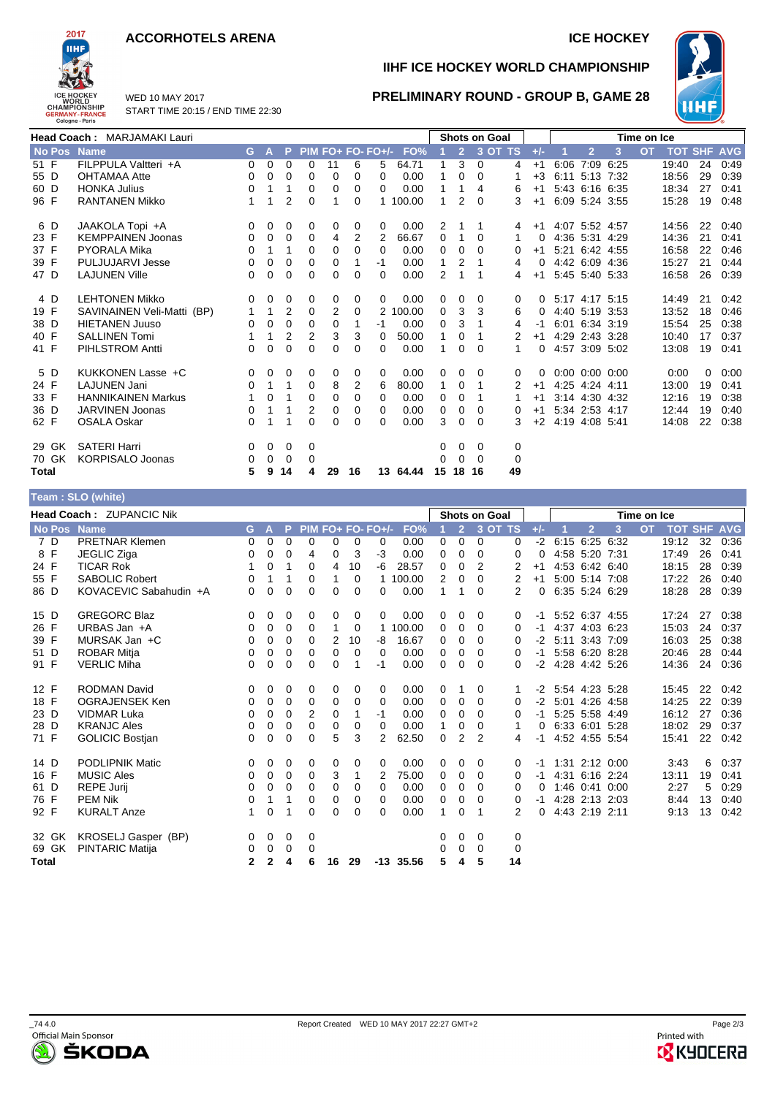### **ACCORHOTELS ARENA ICE HOCKEY**



WED 10 MAY 2017 START TIME 20:15 / END TIME 22:30

# **IIHF ICE HOCKEY WORLD CHAMPIONSHIP**



## **PRELIMINARY ROUND - GROUP B, GAME 28**

|       | <b>Head Coach: MARJAMAKI Lauri</b> |                            |          |              |                |          |                |          |          | <b>Shots on Goal</b>  |          |                |          |         | Time on Ice |                      |                |                |           |                    |          |      |
|-------|------------------------------------|----------------------------|----------|--------------|----------------|----------|----------------|----------|----------|-----------------------|----------|----------------|----------|---------|-------------|----------------------|----------------|----------------|-----------|--------------------|----------|------|
|       | No Pos                             | <b>Name</b>                | G.       | $\mathbf{A}$ | P.             |          |                |          |          | PIM FO+ FO- FO+/- FO% |          | $\overline{2}$ |          | 3 OT TS | $+/-$       |                      | $\overline{2}$ | 3              | <b>OT</b> | <b>TOT SHF AVG</b> |          |      |
| 51 F  |                                    | FILPPULA Valtteri +A       | $\Omega$ | $\Omega$     | 0              | $\Omega$ | 11             | 6        | 5        | 64.71                 |          | 3              | $\Omega$ | 4       | $+1$        | 6:06                 | 7:09 6:25      |                |           | 19:40              | 24       | 0:49 |
| 55 D  |                                    | <b>OHTAMAA Atte</b>        | 0        | 0            | 0              | $\Omega$ | 0              | $\Omega$ | $\Omega$ | 0.00                  |          | $\Omega$       | $\Omega$ |         | $+3$        | 6:11                 | 5:13 7:32      |                |           | 18:56              | 29       | 0:39 |
| 60 D  |                                    | <b>HONKA Julius</b>        | 0        | 1            |                | 0        | $\Omega$       | $\Omega$ | $\Omega$ | 0.00                  |          | 1              | 4        | 6       | $+1$        |                      |                | 5:43 6:16 6:35 |           | 18:34              | 27       | 0:41 |
| 96 F  |                                    | <b>RANTANEN Mikko</b>      |          | 1            | $\overline{2}$ | 0        |                | $\Omega$ |          | 100.00                | 1        | 2              | $\Omega$ | 3       | $+1$        |                      |                | 6:09 5:24 3:55 |           | 15:28              | 19       | 0:48 |
| 6 D   |                                    | JAAKOLA Topi +A            | 0        | 0            | 0              | 0        | 0              | 0        | 0        | 0.00                  | 2        |                | 1        | 4       | $+1$        | 4:07 5:52 4:57       |                |                |           | 14:56              | 22       | 0:40 |
| 23 F  |                                    | <b>KEMPPAINEN Joonas</b>   | 0        | 0            | 0              | 0        | 4              | 2        | 2        | 66.67                 | 0        |                | $\Omega$ | 1       | 0           |                      | 4:36 5:31 4:29 |                |           | 14:36              | 21       | 0:41 |
| 37 F  |                                    | <b>PYORALA Mika</b>        | 0        | 1            | 1              | $\Omega$ | $\Omega$       | $\Omega$ | $\Omega$ | 0.00                  | $\Omega$ | $\Omega$       | $\Omega$ | 0       | $+1$        | 5:21 6:42 4:55       |                |                |           | 16:58              | 22       | 0.46 |
| 39 F  |                                    | PULJUJARVI Jesse           | 0        | 0            | $\Omega$       | $\Omega$ | 0              |          | -1       | 0.00                  | 1        | $\overline{2}$ |          | 4       | $\Omega$    |                      |                | 4:42 6:09 4:36 |           | 15:27              | 21       | 0:44 |
| 47 D  |                                    | <b>LAJUNEN Ville</b>       | 0        | $\Omega$     | 0              | 0        | 0              | $\Omega$ | 0        | 0.00                  | 2        | 1              |          | 4       | $+1$        |                      |                | 5:45 5:40 5:33 |           | 16:58              | 26       | 0:39 |
| 4 D   |                                    | <b>LEHTONEN Mikko</b>      | 0        | 0            | 0              | 0        | 0              | 0        | 0        | 0.00                  | 0        | 0              | $\Omega$ | 0       | $\Omega$    | 5:17 4:17 5:15       |                |                |           | 14:49              | 21       | 0:42 |
| 19 F  |                                    | SAVINAINEN Veli-Matti (BP) | 1        | 1            | $\overline{2}$ | $\Omega$ | $\overline{2}$ | $\Omega$ |          | 2 100.00              | 0        | 3              | 3        | 6       | $\Omega$    |                      |                | 4:40 5:19 3:53 |           | 13:52              | 18       | 0:46 |
| 38 D  |                                    | <b>HIETANEN Juuso</b>      | 0        | 0            | $\Omega$       | $\Omega$ | 0              |          | -1       | 0.00                  | 0        | 3              |          | 4       | -1          |                      | 6:01 6:34 3:19 |                |           | 15:54              | 25       | 0:38 |
| 40 F  |                                    | <b>SALLINEN Tomi</b>       |          | 1            | 2              | 2        | 3              | 3        | $\Omega$ | 50.00                 | 1        | $\Omega$       |          | 2       | $+1$        |                      |                | 4:29 2:43 3:28 |           | 10:40              | 17       | 0:37 |
| 41 F  |                                    | <b>PIHLSTROM Antti</b>     | $\Omega$ | $\Omega$     | $\Omega$       | 0        | 0              | $\Omega$ | 0        | 0.00                  |          | $\Omega$       | $\Omega$ | 1       | 0           |                      |                | 4:57 3:09 5:02 |           | 13:08              | 19       | 0:41 |
| 5 D   |                                    | KUKKONEN Lasse +C          | 0        | 0            | 0              | 0        | 0              | 0        | 0        | 0.00                  | 0        | 0              | $\Omega$ | 0       | $\Omega$    | $0:00$ $0:00$ $0:00$ |                |                |           | 0:00               | $\Omega$ | 0:00 |
| 24 F  |                                    | <b>LAJUNEN Jani</b>        | 0        | 1            | $\mathbf 1$    | 0        | 8              | 2        | 6        | 80.00                 | 1        | 0              | 1        | 2       | $+1$        |                      | 4:25 4:24 4:11 |                |           | 13:00              | 19       | 0:41 |
| 33 F  |                                    | <b>HANNIKAINEN Markus</b>  |          | 0            | 1              | $\Omega$ | 0              | $\Omega$ | 0        | 0.00                  | 0        | $\Omega$       |          |         | $+1$        |                      | 3:14 4:30 4:32 |                |           | 12:16              | 19       | 0:38 |
| 36 D  |                                    | JARVINEN Joonas            | 0        |              |                | 2        | 0              | $\Omega$ | $\Omega$ | 0.00                  | $\Omega$ | 0              | $\Omega$ | 0       | $+1$        |                      | 5:34 2:53 4:17 |                |           | 12:44              | 19       | 0:40 |
| 62 F  |                                    | <b>OSALA Oskar</b>         | $\Omega$ | 1            | 1              | 0        | 0              | $\Omega$ | 0        | 0.00                  | 3        | $\Omega$       | $\Omega$ | 3       | $+2$        | 4:19 4:08 5:41       |                |                |           | 14:08              | 22       | 0:38 |
|       | 29 GK                              | <b>SATERI Harri</b>        | 0        | 0            | 0              | 0        |                |          |          |                       | 0        | 0              | 0        | 0       |             |                      |                |                |           |                    |          |      |
|       | 70 GK                              | <b>KORPISALO Joonas</b>    | 0        | 0            | 0              | 0        |                |          |          |                       | $\Omega$ | $\Omega$       | $\Omega$ | 0       |             |                      |                |                |           |                    |          |      |
| Total |                                    |                            | 5        | 9            | 14             | 4        | 29             | 16       | 13       | 64.44                 | 15       | 18             | 16       | 49      |             |                      |                |                |           |                    |          |      |

|                   | Team: SLO (white)        |              |              |          |          |    |    |                   |             |                |                |                      |         |       |                |      |             |                |    |            |
|-------------------|--------------------------|--------------|--------------|----------|----------|----|----|-------------------|-------------|----------------|----------------|----------------------|---------|-------|----------------|------|-------------|----------------|----|------------|
|                   | Head Coach: ZUPANCIC Nik |              |              |          |          |    |    |                   |             |                |                | <b>Shots on Goal</b> |         |       |                |      | Time on Ice |                |    |            |
| No Pos Name       |                          | G.           | A            | P        |          |    |    | PIM FO+ FO- FO+/- | FO%         |                | $\overline{2}$ |                      | 3 OT TS | $+/-$ | $\overline{2}$ | 3    | <b>OT</b>   | <b>TOT SHF</b> |    | <b>AVG</b> |
| 7 D               | <b>PRETNAR Klemen</b>    | 0            | $\mathbf 0$  | 0        | 0        | 0  | 0  | 0                 | 0.00        | 0              | 0              | 0                    | 0       | $-2$  | 6:15 6:25 6:32 |      |             | 19:12          | 32 | 0:36       |
| $\mathsf{F}$<br>8 | <b>JEGLIC Ziga</b>       | 0            | 0            | 0        | 4        | 0  | 3  | $-3$              | 0.00        | 0              | 0              | $\Omega$             | 0       | 0     | 4:58 5:20 7:31 |      |             | 17:49          | 26 | 0:41       |
| 24 F              | <b>TICAR Rok</b>         | 1            | $\mathbf 0$  | 1        | 0        | 4  | 10 | -6                | 28.57       | 0              | 0              | 2                    | 2       | $+1$  | 4:53 6:42 6:40 |      |             | 18:15          | 28 | 0:39       |
| 55 F              | <b>SABOLIC Robert</b>    | 0            | 1            | 1        | 0        | 1  | 0  |                   | 100.00      | $\overline{2}$ | 0              | 0                    | 2       | $+1$  | 5:00 5:14 7:08 |      |             | 17:22          | 26 | 0:40       |
| 86 D              | KOVACEVIC Sabahudin +A   | 0            | $\mathbf 0$  | $\Omega$ | 0        | 0  | 0  | 0                 | 0.00        | 1              |                | 0                    | 2       | 0     | 6:35 5:24 6:29 |      |             | 18:28          | 28 | 0:39       |
| 15 D              | <b>GREGORC Blaz</b>      | 0            | 0            | 0        | 0        | 0  | 0  | 0                 | 0.00        | 0              | 0              | 0                    | 0       | -1    | 5:52 6:37 4:55 |      |             | 17:24          | 27 | 0:38       |
| 26 F              | URBAS Jan +A             | 0            | 0            | 0        | 0        | 1  | 0  |                   | 100.00      | 0              | 0              | $\Omega$             | 0       | -1    | 4:37 4:03      | 6:23 |             | 15:03          | 24 | 0:37       |
| 39 F              | MURSAK Jan +C            | 0            | 0            | 0        | 0        | 2  | 10 | -8                | 16.67       | 0              | 0              | $\Omega$             | 0       | $-2$  | 5:11 3:43 7:09 |      |             | 16:03          | 25 | 0:38       |
| 51 D              | <b>ROBAR Mitja</b>       | 0            | $\mathbf 0$  | 0        | 0        | 0  | 0  | 0                 | 0.00        | 0              | 0              | 0                    | 0       | -1    | 5:58 6:20      | 8:28 |             | 20:46          | 28 | 0:44       |
| 91 F              | <b>VERLIC Miha</b>       | 0            | $\mathbf 0$  | 0        | 0        | 0  | 1  | -1                | 0.00        | 0              | 0              | $\Omega$             | 0       | $-2$  | 4:28 4:42 5:26 |      |             | 14:36          | 24 | 0:36       |
| 12 F              | <b>RODMAN David</b>      | 0            | 0            | 0        | 0        | 0  | 0  | 0                 | 0.00        | 0              |                | 0                    |         | -2    | 5:54 4:23 5:28 |      |             | 15:45          | 22 | 0:42       |
| 18 F              | OGRAJENSEK Ken           | 0            | 0            | 0        | 0        | 0  | 0  | 0                 | 0.00        | 0              | 0              | 0                    | 0       | $-2$  | 5:01 4:26 4:58 |      |             | 14:25          | 22 | 0:39       |
| 23 D              | <b>VIDMAR Luka</b>       | 0            | 0            | 0        | 2        | 0  | 1  | $-1$              | 0.00        | 0              | 0              | 0                    | 0       | -1    | 5:25 5:58 4:49 |      |             | 16:12          | 27 | 0:36       |
| 28 D              | <b>KRANJC Ales</b>       | 0            | 0            | 0        | $\Omega$ | 0  | 0  | $\Omega$          | 0.00        | 1              | 0              | 0                    | 1       | 0     | 6:33 6:01      | 5:28 |             | 18:02          | 29 | 0:37       |
| 71 F              | <b>GOLICIC Bostjan</b>   | 0            | $\mathbf 0$  | 0        | 0        | 5  | 3  | 2                 | 62.50       | 0              | $\overline{2}$ | 2                    | 4       | -1    | 4:52 4:55 5:54 |      |             | 15:41          | 22 | 0:42       |
| 14 D              | <b>PODLIPNIK Matic</b>   | 0            | 0            | 0        | 0        | 0  | 0  | 0                 | 0.00        | 0              | 0              | 0                    | 0       | -1    | 1:31 2:12 0:00 |      |             | 3:43           | 6  | 0:37       |
| 16 F              | <b>MUSIC Ales</b>        | 0            | 0            | 0        | 0        | 3  | 1  | 2                 | 75.00       | 0              | 0              | 0                    | 0       | -1    | 4:31 6:16 2:24 |      |             | 13:11          | 19 | 0:41       |
| 61 D              | <b>REPE Jurij</b>        | 0            | 0            | 0        | $\Omega$ | 0  | 0  | $\Omega$          | 0.00        | 0              | 0              | 0                    | 0       | 0     | $1.46$ 0.41    | 0:00 |             | 2:27           | 5  | 0:29       |
| 76 F              | <b>PEM Nik</b>           | 0            | 1            | 1        | 0        | 0  | 0  | 0                 | 0.00        | 0              | 0              | 0                    | 0       | -1    | 4:28 2:13 2:03 |      |             | 8:44           | 13 | 0:40       |
| 92 F              | <b>KURALT Anze</b>       | 1            | $\mathbf 0$  |          | 0        | 0  | 0  | 0                 | 0.00        | 1              | 0              | 1                    | 2       | 0     | 4:43 2:19      | 2:11 |             | 9:13           | 13 | 0:42       |
| 32 GK             | KROSELJ Gasper (BP)      | 0            | 0            | 0        | 0        |    |    |                   |             | 0              | 0              | 0                    | 0       |       |                |      |             |                |    |            |
| 69 GK             | <b>PINTARIC Matija</b>   | 0            | 0            | 0        | 0        |    |    |                   |             | 0              | 0              | $\Omega$             | 0       |       |                |      |             |                |    |            |
| Total             |                          | $\mathbf{2}$ | $\mathbf{2}$ | 4        | 6        | 16 | 29 |                   | $-13$ 35.56 | 5              | 4              | 5                    | 14      |       |                |      |             |                |    |            |